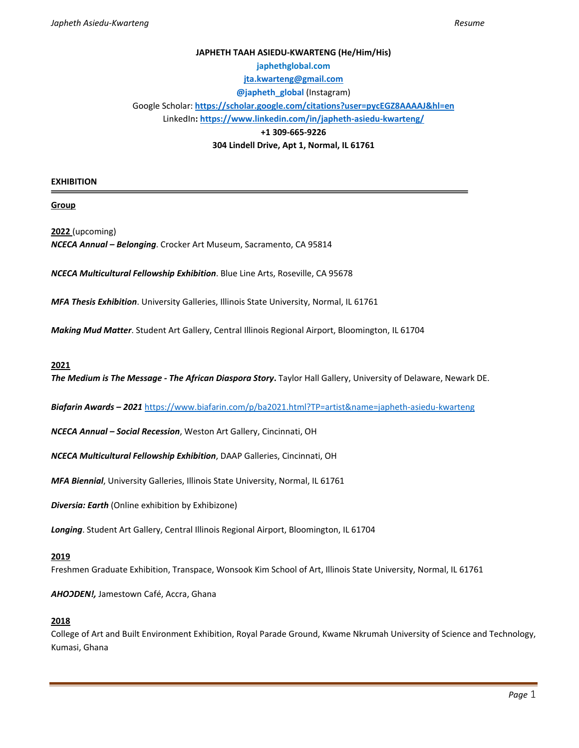# **JAPHETH TAAH ASIEDU-KWARTENG (He/Him/His) japhethglobal.com [jta.kwarteng@gmail.com](mailto:jta.kwarteng@gmail.com) @japheth\_global** (Instagram) Google Scholar: **<https://scholar.google.com/citations?user=pycEGZ8AAAAJ&hl=en>** LinkedIn**[: https://www.linkedin.com/in/japheth-asiedu-kwarteng/](https://www.linkedin.com/in/japheth-asiedu-kwarteng/) +1 309-665-9226**

**304 Lindell Drive, Apt 1, Normal, IL 61761**

#### **EXHIBITION**

**Group** 

**2022** (upcoming) *NCECA Annual – Belonging*. Crocker Art Museum, Sacramento, CA 95814

*NCECA Multicultural Fellowship Exhibition*. Blue Line Arts, Roseville, CA 95678

*MFA Thesis Exhibition*. University Galleries, Illinois State University, Normal, IL 61761

*Making Mud Matter*. Student Art Gallery, Central Illinois Regional Airport, Bloomington, IL 61704

**2021** 

*The Medium is The Message - The African Diaspora Story***.** Taylor Hall Gallery, University of Delaware, Newark DE.

*Biafarin Awards – 2021* <https://www.biafarin.com/p/ba2021.html?TP=artist&name=japheth-asiedu-kwarteng>

*NCECA Annual – Social Recession*, Weston Art Gallery, Cincinnati, OH

*NCECA Multicultural Fellowship Exhibition*, DAAP Galleries, Cincinnati, OH

*MFA Biennial*, University Galleries, Illinois State University, Normal, IL 61761

*Diversia: Earth* (Online exhibition by Exhibizone)

*Longing*. Student Art Gallery, Central Illinois Regional Airport, Bloomington, IL 61704

#### **2019**

Freshmen Graduate Exhibition, Transpace, Wonsook Kim School of Art, Illinois State University, Normal, IL 61761

*AHOↃDEN!,* Jamestown Café, Accra, Ghana

#### **2018**

College of Art and Built Environment Exhibition, Royal Parade Ground, Kwame Nkrumah University of Science and Technology, Kumasi, Ghana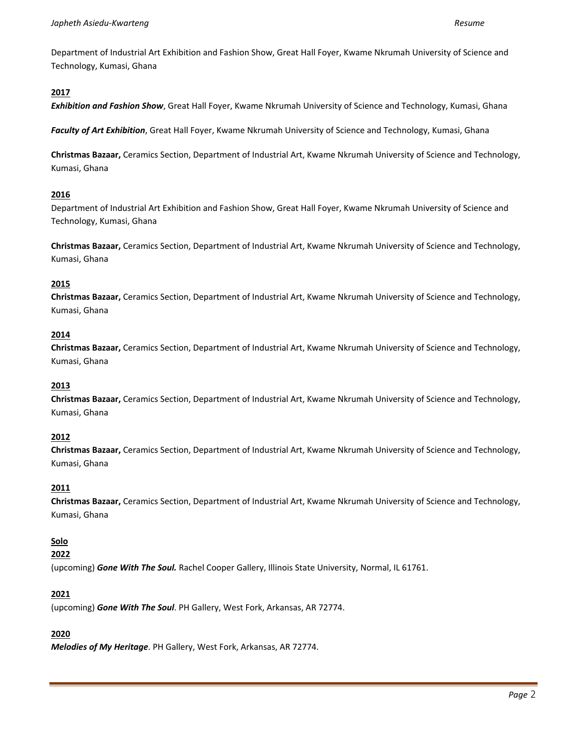Department of Industrial Art Exhibition and Fashion Show, Great Hall Foyer, Kwame Nkrumah University of Science and Technology, Kumasi, Ghana

# **2017**

*Exhibition and Fashion Show*, Great Hall Foyer, Kwame Nkrumah University of Science and Technology, Kumasi, Ghana

*Faculty of Art Exhibition*, Great Hall Foyer, Kwame Nkrumah University of Science and Technology, Kumasi, Ghana

**Christmas Bazaar,** Ceramics Section, Department of Industrial Art, Kwame Nkrumah University of Science and Technology, Kumasi, Ghana

### **2016**

Department of Industrial Art Exhibition and Fashion Show, Great Hall Foyer, Kwame Nkrumah University of Science and Technology, Kumasi, Ghana

**Christmas Bazaar,** Ceramics Section, Department of Industrial Art, Kwame Nkrumah University of Science and Technology, Kumasi, Ghana

# **2015**

**Christmas Bazaar,** Ceramics Section, Department of Industrial Art, Kwame Nkrumah University of Science and Technology, Kumasi, Ghana

### **2014**

**Christmas Bazaar,** Ceramics Section, Department of Industrial Art, Kwame Nkrumah University of Science and Technology, Kumasi, Ghana

### **2013**

**Christmas Bazaar,** Ceramics Section, Department of Industrial Art, Kwame Nkrumah University of Science and Technology, Kumasi, Ghana

# **2012**

**Christmas Bazaar,** Ceramics Section, Department of Industrial Art, Kwame Nkrumah University of Science and Technology, Kumasi, Ghana

### **2011**

**Christmas Bazaar,** Ceramics Section, Department of Industrial Art, Kwame Nkrumah University of Science and Technology, Kumasi, Ghana

# **Solo**

### **2022**

(upcoming) *Gone With The Soul.* Rachel Cooper Gallery, Illinois State University, Normal, IL 61761.

### **2021**

(upcoming) *Gone With The Soul*. PH Gallery, West Fork, Arkansas, AR 72774.

### **2020**

*Melodies of My Heritage*. PH Gallery, West Fork, Arkansas, AR 72774.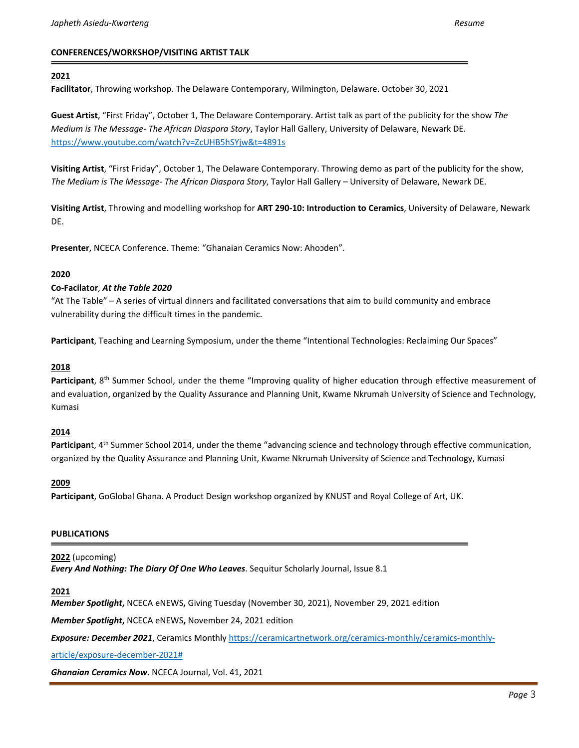### **CONFERENCES/WORKSHOP/VISITING ARTIST TALK**

### **2021**

**Facilitator**, Throwing workshop. The Delaware Contemporary, Wilmington, Delaware. October 30, 2021

**Guest Artist**, "First Friday", October 1, The Delaware Contemporary. Artist talk as part of the publicity for the show *The Medium is The Message- The African Diaspora Story*, Taylor Hall Gallery, University of Delaware, Newark DE. <https://www.youtube.com/watch?v=ZcUHB5hSYjw&t=4891s>

**Visiting Artist**, "First Friday", October 1, The Delaware Contemporary. Throwing demo as part of the publicity for the show, *The Medium is The Message- The African Diaspora Story*, Taylor Hall Gallery – University of Delaware, Newark DE.

**Visiting Artist**, Throwing and modelling workshop for **ART 290-10: Introduction to Ceramics**, University of Delaware, Newark DE.

Presenter, NCECA Conference. Theme: "Ghanaian Ceramics Now: Ahoɔden".

### **2020**

### **Co-Facilator**, *At the Table 2020*

"At The Table" – A series of virtual dinners and facilitated conversations that aim to build community and embrace vulnerability during the difficult times in the pandemic.

**Participant**, Teaching and Learning Symposium, under the theme "Intentional Technologies: Reclaiming Our Spaces"

### **2018**

Participant, 8<sup>th</sup> Summer School, under the theme "Improving quality of higher education through effective measurement of and evaluation, organized by the Quality Assurance and Planning Unit, Kwame Nkrumah University of Science and Technology, Kumasi

#### **2014**

Participant, 4<sup>th</sup> Summer School 2014, under the theme "advancing science and technology through effective communication, organized by the Quality Assurance and Planning Unit, Kwame Nkrumah University of Science and Technology, Kumasi

#### **2009**

**Participant**, GoGlobal Ghana. A Product Design workshop organized by KNUST and Royal College of Art, UK.

### **PUBLICATIONS**

**2022** (upcoming) *Every And Nothing: The Diary Of One Who Leaves*. Sequitur Scholarly Journal, Issue 8.1

#### **2021**

*Member Spotlight***,** NCECA eNEWS**,** Giving Tuesday (November 30, 2021), November 29, 2021 edition

*Member Spotlight***,** NCECA eNEWS**,** November 24, 2021 edition

*Exposure: December 2021*, Ceramics Monthly [https://ceramicartnetwork.org/ceramics-monthly/ceramics-monthly-](https://ceramicartnetwork.org/ceramics-monthly/ceramics-monthly-article/exposure-december-2021)

[article/exposure-december-2021#](https://ceramicartnetwork.org/ceramics-monthly/ceramics-monthly-article/exposure-december-2021)

*Ghanaian Ceramics Now*. NCECA Journal, Vol. 41, 2021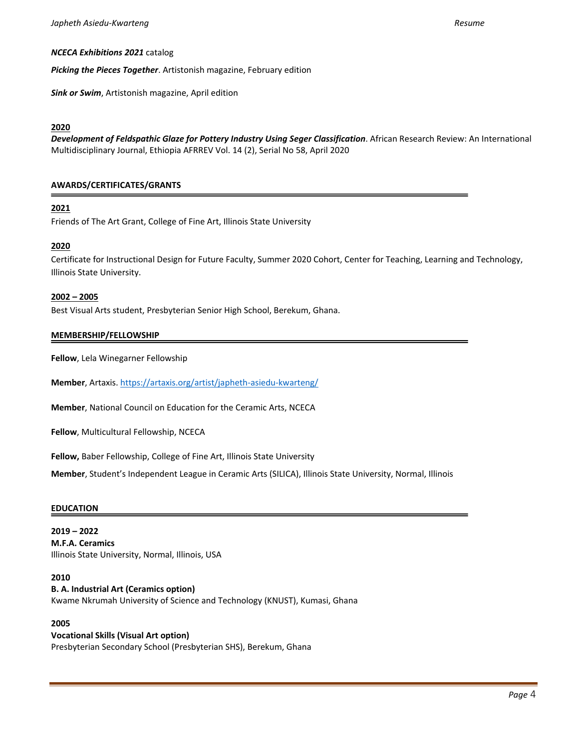#### *NCECA Exhibitions 2021* catalog

*Picking the Pieces Together*. Artistonish magazine, February edition

*Sink or Swim*, Artistonish magazine, April edition

### **2020**

*Development of Feldspathic Glaze for Pottery Industry Using Seger Classification*. African Research Review: An International Multidisciplinary Journal, Ethiopia AFRREV Vol. 14 (2), Serial No 58, April 2020

### **AWARDS/CERTIFICATES/GRANTS**

### **2021**

Friends of The Art Grant, College of Fine Art, Illinois State University

### **2020**

Certificate for Instructional Design for Future Faculty, Summer 2020 Cohort, Center for Teaching, Learning and Technology, Illinois State University.

#### **2002 – 2005**

Best Visual Arts student, Presbyterian Senior High School, Berekum, Ghana.

#### **MEMBERSHIP/FELLOWSHIP**

**Fellow**, Lela Winegarner Fellowship

**Member**, Artaxis. <https://artaxis.org/artist/japheth-asiedu-kwarteng/>

**Member**, National Council on Education for the Ceramic Arts, NCECA

**Fellow**, Multicultural Fellowship, NCECA

**Fellow,** Baber Fellowship, College of Fine Art, Illinois State University

**Member**, Student's Independent League in Ceramic Arts (SILICA), Illinois State University, Normal, Illinois

#### **EDUCATION**

**2019 – 2022 M.F.A. Ceramics** Illinois State University, Normal, Illinois, USA

#### **2010**

### **B. A. Industrial Art (Ceramics option)**

Kwame Nkrumah University of Science and Technology (KNUST), Kumasi, Ghana

### **2005**

#### **Vocational Skills (Visual Art option)**

Presbyterian Secondary School (Presbyterian SHS), Berekum, Ghana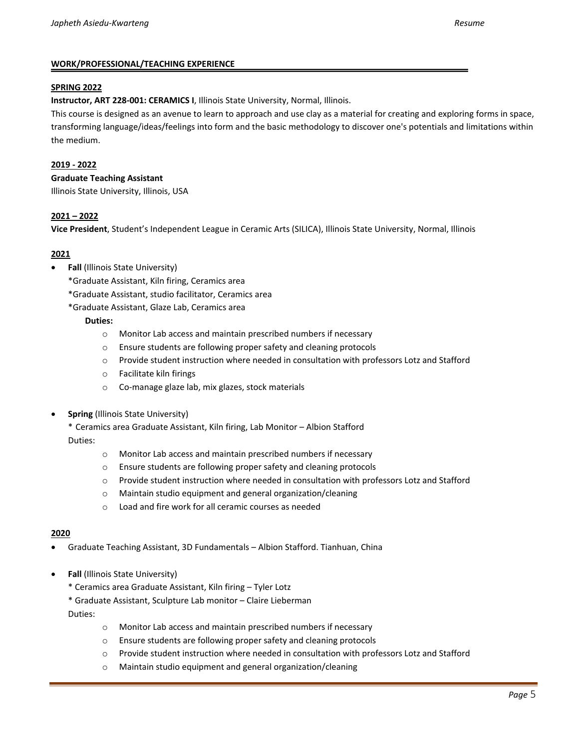### **WORK/PROFESSIONAL/TEACHING EXPERIENCE**

#### **SPRING 2022**

**Instructor, ART 228-001: CERAMICS I**, Illinois State University, Normal, Illinois.

This course is designed as an avenue to learn to approach and use clay as a material for creating and exploring forms in space, transforming language/ideas/feelings into form and the basic methodology to discover one's potentials and limitations within the medium.

### **2019 - 2022**

#### **Graduate Teaching Assistant**

Illinois State University, Illinois, USA

### **2021 – 2022**

**Vice President**, Student's Independent League in Ceramic Arts (SILICA), Illinois State University, Normal, Illinois

### **2021**

- **Fall** (Illinois State University)
	- \*Graduate Assistant, Kiln firing, Ceramics area
	- \*Graduate Assistant, studio facilitator, Ceramics area
	- \*Graduate Assistant, Glaze Lab, Ceramics area

### **Duties:**

- o Monitor Lab access and maintain prescribed numbers if necessary
- o Ensure students are following proper safety and cleaning protocols
- o Provide student instruction where needed in consultation with professors Lotz and Stafford
- o Facilitate kiln firings
- o Co-manage glaze lab, mix glazes, stock materials
- **Spring** (Illinois State University)

\* Ceramics area Graduate Assistant, Kiln firing, Lab Monitor – Albion Stafford Duties:

- o Monitor Lab access and maintain prescribed numbers if necessary
- o Ensure students are following proper safety and cleaning protocols
- o Provide student instruction where needed in consultation with professors Lotz and Stafford
- o Maintain studio equipment and general organization/cleaning
- o Load and fire work for all ceramic courses as needed

#### **2020**

- Graduate Teaching Assistant, 3D Fundamentals Albion Stafford. Tianhuan, China
- **Fall** (Illinois State University)
	- \* Ceramics area Graduate Assistant, Kiln firing Tyler Lotz
	- \* Graduate Assistant, Sculpture Lab monitor Claire Lieberman

Duties:

- o Monitor Lab access and maintain prescribed numbers if necessary
- o Ensure students are following proper safety and cleaning protocols
- o Provide student instruction where needed in consultation with professors Lotz and Stafford
- o Maintain studio equipment and general organization/cleaning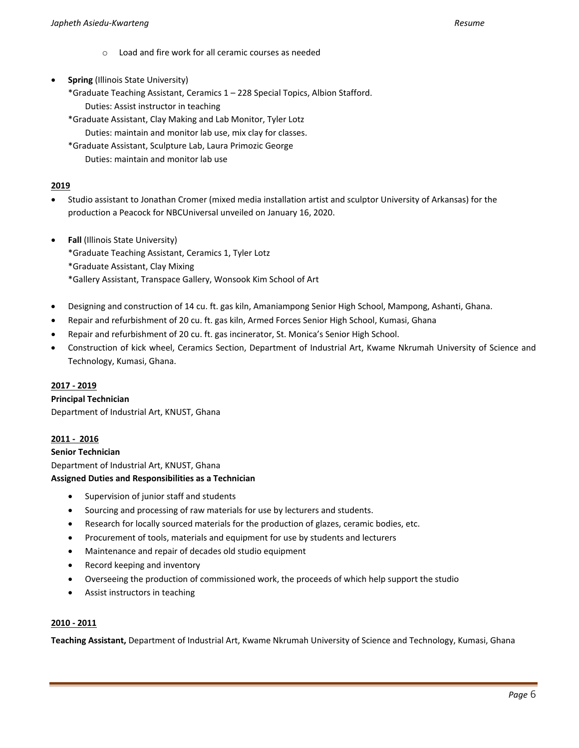- o Load and fire work for all ceramic courses as needed
- **Spring** (Illinois State University)
	- \*Graduate Teaching Assistant, Ceramics 1 228 Special Topics, Albion Stafford. Duties: Assist instructor in teaching
	- \*Graduate Assistant, Clay Making and Lab Monitor, Tyler Lotz Duties: maintain and monitor lab use, mix clay for classes.
	- \*Graduate Assistant, Sculpture Lab, Laura Primozic George Duties: maintain and monitor lab use

### **2019**

- Studio assistant to Jonathan Cromer (mixed media installation artist and sculptor University of Arkansas) for the production a Peacock for NBCUniversal unveiled on January 16, 2020.
- **Fall** (Illinois State University)

\*Graduate Teaching Assistant, Ceramics 1, Tyler Lotz

- \*Graduate Assistant, Clay Mixing
- \*Gallery Assistant, Transpace Gallery, Wonsook Kim School of Art
- Designing and construction of 14 cu. ft. gas kiln, Amaniampong Senior High School, Mampong, Ashanti, Ghana.
- Repair and refurbishment of 20 cu. ft. gas kiln, Armed Forces Senior High School, Kumasi, Ghana
- Repair and refurbishment of 20 cu. ft. gas incinerator, St. Monica's Senior High School.
- Construction of kick wheel, Ceramics Section, Department of Industrial Art, Kwame Nkrumah University of Science and Technology, Kumasi, Ghana.

### **2017 - 2019**

### **Principal Technician**

Department of Industrial Art, KNUST, Ghana

### **2011 - 2016**

**Senior Technician** 

Department of Industrial Art, KNUST, Ghana

### **Assigned Duties and Responsibilities as a Technician**

- Supervision of junior staff and students
- Sourcing and processing of raw materials for use by lecturers and students.
- Research for locally sourced materials for the production of glazes, ceramic bodies, etc.
- Procurement of tools, materials and equipment for use by students and lecturers
- Maintenance and repair of decades old studio equipment
- Record keeping and inventory
- Overseeing the production of commissioned work, the proceeds of which help support the studio
- Assist instructors in teaching

### **2010 - 2011**

**Teaching Assistant,** Department of Industrial Art, Kwame Nkrumah University of Science and Technology, Kumasi, Ghana